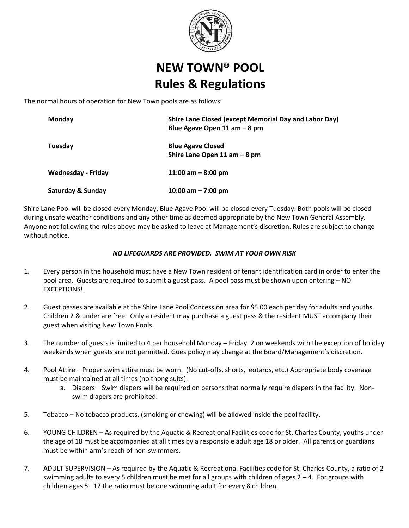

## **NEW TOWN® POOL Rules & Regulations**

The normal hours of operation for New Town pools are as follows:

| Monday                       | Shire Lane Closed (except Memorial Day and Labor Day)<br>Blue Agave Open 11 am $-8$ pm |
|------------------------------|----------------------------------------------------------------------------------------|
| Tuesday                      | <b>Blue Agave Closed</b><br>Shire Lane Open 11 am $-8$ pm                              |
| Wednesday - Friday           | 11:00 am $-8:00$ pm                                                                    |
| <b>Saturday &amp; Sunday</b> | 10:00 am $-7:00$ pm                                                                    |

Shire Lane Pool will be closed every Monday, Blue Agave Pool will be closed every Tuesday. Both pools will be closed during unsafe weather conditions and any other time as deemed appropriate by the New Town General Assembly. Anyone not following the rules above may be asked to leave at Management's discretion. Rules are subject to change without notice.

## *NO LIFEGUARDS ARE PROVIDED. SWIM AT YOUR OWN RISK*

- 1. Every person in the household must have a New Town resident or tenant identification card in order to enter the pool area. Guests are required to submit a guest pass. A pool pass must be shown upon entering – NO **EXCEPTIONS!**
- 2. Guest passes are available at the Shire Lane Pool Concession area for \$5.00 each per day for adults and youths. Children 2 & under are free. Only a resident may purchase a guest pass & the resident MUST accompany their guest when visiting New Town Pools.
- 3. The number of guests is limited to 4 per household Monday Friday, 2 on weekends with the exception of holiday weekends when guests are not permitted. Gues policy may change at the Board/Management's discretion.
- 4. Pool Attire Proper swim attire must be worn. (No cut-offs, shorts, leotards, etc.) Appropriate body coverage must be maintained at all times (no thong suits).
	- a. Diapers Swim diapers will be required on persons that normally require diapers in the facility. Nonswim diapers are prohibited.
- 5. Tobacco No tobacco products, (smoking or chewing) will be allowed inside the pool facility.
- 6. YOUNG CHILDREN As required by the Aquatic & Recreational Facilities code for St. Charles County, youths under the age of 18 must be accompanied at all times by a responsible adult age 18 or older. All parents or guardians must be within arm's reach of non-swimmers.
- 7. ADULT SUPERVISION As required by the Aquatic & Recreational Facilities code for St. Charles County, a ratio of 2 swimming adults to every 5 children must be met for all groups with children of ages  $2 - 4$ . For groups with children ages 5 –12 the ratio must be one swimming adult for every 8 children.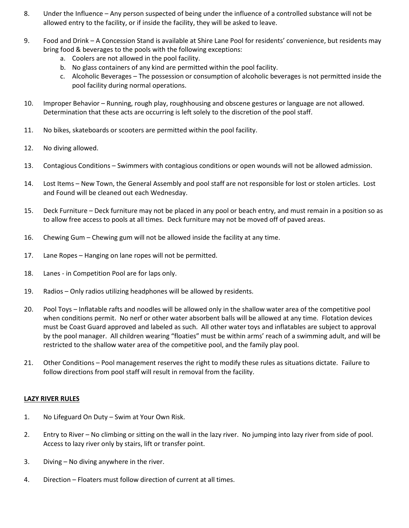- 8. Under the Influence Any person suspected of being under the influence of a controlled substance will not be allowed entry to the facility, or if inside the facility, they will be asked to leave.
- 9. Food and Drink A Concession Stand is available at Shire Lane Pool for residents' convenience, but residents may bring food & beverages to the pools with the following exceptions:
	- a. Coolers are not allowed in the pool facility.
	- b. No glass containers of any kind are permitted within the pool facility.
	- c. Alcoholic Beverages The possession or consumption of alcoholic beverages is not permitted inside the pool facility during normal operations.
- 10. Improper Behavior Running, rough play, roughhousing and obscene gestures or language are not allowed. Determination that these acts are occurring is left solely to the discretion of the pool staff.
- 11. No bikes, skateboards or scooters are permitted within the pool facility.
- 12. No diving allowed.
- 13. Contagious Conditions Swimmers with contagious conditions or open wounds will not be allowed admission.
- 14. Lost Items New Town, the General Assembly and pool staff are not responsible for lost or stolen articles. Lost and Found will be cleaned out each Wednesday.
- 15. Deck Furniture Deck furniture may not be placed in any pool or beach entry, and must remain in a position so as to allow free access to pools at all times. Deck furniture may not be moved off of paved areas.
- 16. Chewing Gum Chewing gum will not be allowed inside the facility at any time.
- 17. Lane Ropes Hanging on lane ropes will not be permitted.
- 18. Lanes in Competition Pool are for laps only.
- 19. Radios Only radios utilizing headphones will be allowed by residents.
- 20. Pool Toys Inflatable rafts and noodles will be allowed only in the shallow water area of the competitive pool when conditions permit. No nerf or other water absorbent balls will be allowed at any time. Flotation devices must be Coast Guard approved and labeled as such. All other water toys and inflatables are subject to approval by the pool manager. All children wearing "floaties" must be within arms' reach of a swimming adult, and will be restricted to the shallow water area of the competitive pool, and the family play pool.
- 21. Other Conditions Pool management reserves the right to modify these rules as situations dictate. Failure to follow directions from pool staff will result in removal from the facility.

## **LAZY RIVER RULES**

- 1. No Lifeguard On Duty Swim at Your Own Risk.
- 2. Entry to River No climbing or sitting on the wall in the lazy river. No jumping into lazy river from side of pool. Access to lazy river only by stairs, lift or transfer point.
- 3. Diving No diving anywhere in the river.
- 4. Direction Floaters must follow direction of current at all times.